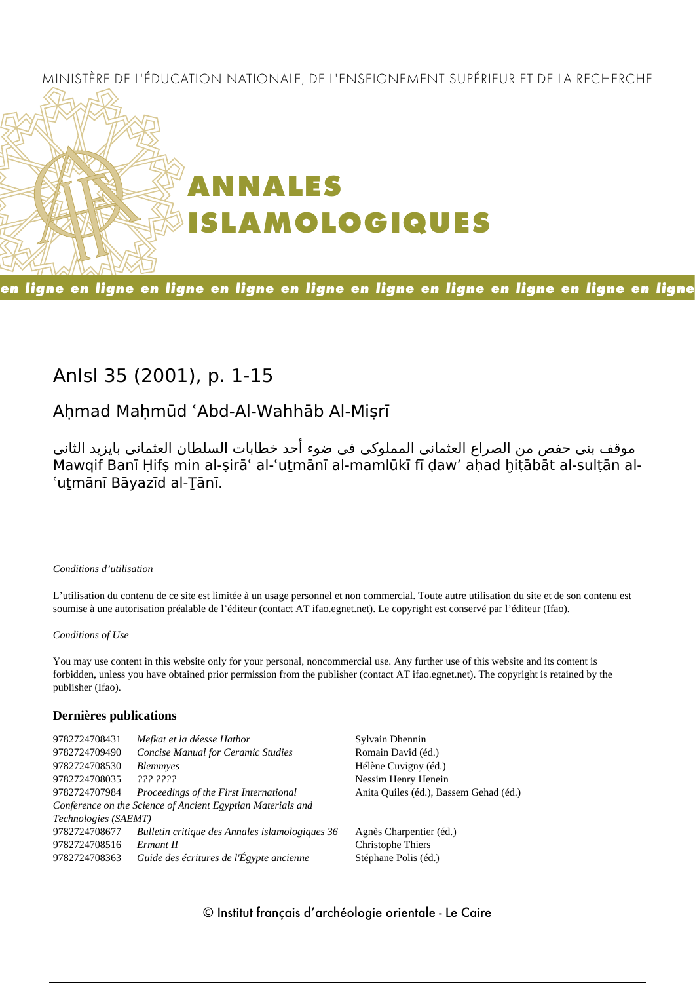### MINISTÈRE DE L'ÉDUCATION NATIONALE, DE L'ENSEIGNEMENT SUPÉRIEUR ET DE LA RECHERCHE



### en ligne en ligne en ligne en ligne en ligne en ligne en ligne en ligne en ligne en ligne

# **AnIsl 35 (2001), p. 1-15**

# **Aḥmad Maḥmūd ʿAbd-Al-Wahhāb Al-Miṣrī**

موقف بنى حفص من الصراع العثمانى المملوكى فى ضوء أحد خطابات السلطان العثمانى بايزيد الثانى Mawqif Banī Ḥifṣ min al-ṣirāʿ al-ʿuṯmānī al-mamlūkī fī ḍaw' aḥad ḫiṭābāt al-sulṭān al-'utmānī Bāyazīd al-Tānī.

#### *Conditions d'utilisation*

L'utilisation du contenu de ce site est limitée à un usage personnel et non commercial. Toute autre utilisation du site et de son contenu est soumise à une autorisation préalable de l'éditeur (contact AT ifao.egnet.net). Le copyright est conservé par l'éditeur (Ifao).

#### *Conditions of Use*

You may use content in this website only for your personal, noncommercial use. Any further use of this website and its content is forbidden, unless you have obtained prior permission from the publisher (contact AT ifao.egnet.net). The copyright is retained by the publisher (Ifao).

#### **Dernières publications**

| 9782724708431        | Mefkat et la déesse Hathor                                  | Sylvain Dhennin                        |
|----------------------|-------------------------------------------------------------|----------------------------------------|
| 9782724709490        | <b>Concise Manual for Ceramic Studies</b>                   | Romain David (éd.)                     |
| 9782724708530        | <b>Blemmyes</b>                                             | Hélène Cuvigny (éd.)                   |
| 9782724708035        | 222.2222                                                    | Nessim Henry Henein                    |
| 9782724707984        | Proceedings of the First International                      | Anita Quiles (éd.), Bassem Gehad (éd.) |
|                      | Conference on the Science of Ancient Egyptian Materials and |                                        |
| Technologies (SAEMT) |                                                             |                                        |
| 9782724708677        | Bulletin critique des Annales islamologiques 36             | Agnès Charpentier (éd.)                |
| 9782724708516        | Ermant II                                                   | Christophe Thiers                      |
| 9782724708363        | Guide des écritures de l'Égypte ancienne                    | Stéphane Polis (éd.)                   |
|                      |                                                             |                                        |

#### © Institut français d'archéologie orientale - Le Caire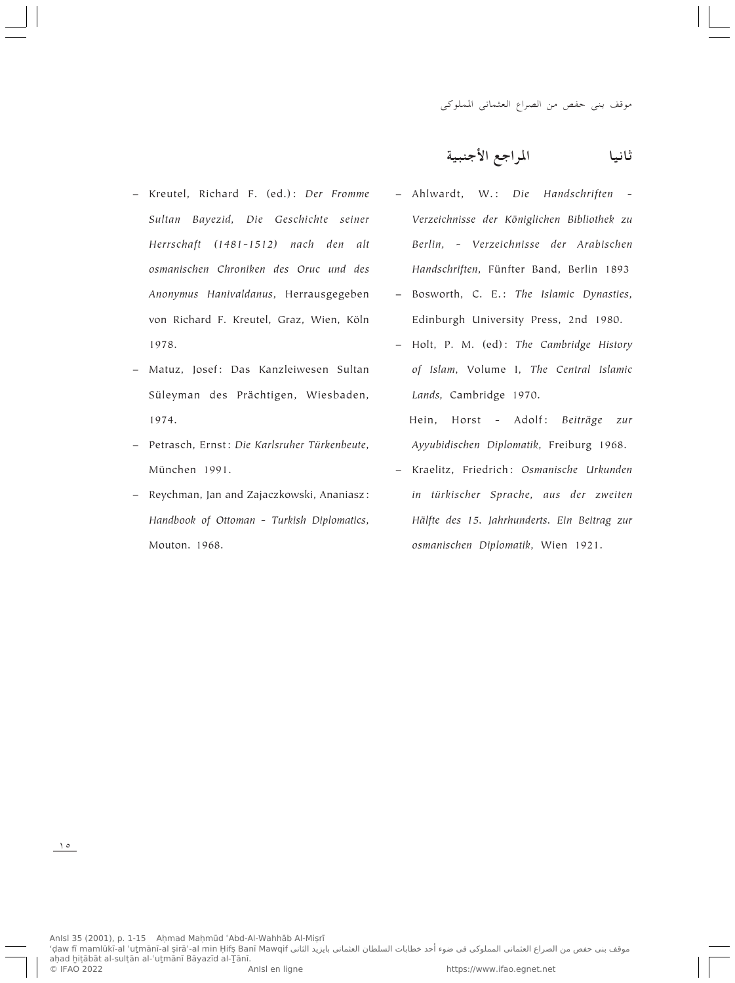- Kreutel, Richard F. (ed.): *Der Fromme Sultan Bayezid, Die Geschichte seiner Herrschaft (1481-1512) nach den alt osmanischen Chroniken des Oruc und des Anonymus Hanivaldanus*, Herrausgegeben von Richard F. Kreutel, Graz, Wien, Köln 1978.
- Matuz, Josef: Das Kanzleiwesen Sultan Süleyman des Prächtigen, Wiesbaden, 1974.
- Petrasch, Ernst: *Die Karlsruher Türkenbeute*, München 1991.
- Reychman, Jan and Zajaczkowski, Ananiasz: *Handbook of Ottoman - Turkish Diplomatics*, Mouton. 1968.

**WO³Mł\_« lł«d\*« UO½UŁ**

- Ahlwardt, W.: *Die Handschriften - Verzeichnisse der Königlichen Bibliothek zu Berlin, - Verzeichnisse der Arabischen Handschriften*, Fünfter Band, Berlin 1893
- Bosworth, C. E.: *The Islamic Dynasties*, Edinburgh University Press, 2nd 1980.
- Holt, P. M. (ed): *The Cambridge History of Islam*, Volume I, *The Central Islamic Lands,* Cambridge 1970.
	- Hein, Horst Adolf: *Beiträge zur Ayyubidischen Diplomatik*, Freiburg 1968.
- Kraelitz, Friedrich: *Osmanische Urkunden in türkischer Sprache, aus der zweiten Hälfte des 15. Jahrhunderts. Ein Beitrag zur osmanischen Diplomatik*, Wien 1921.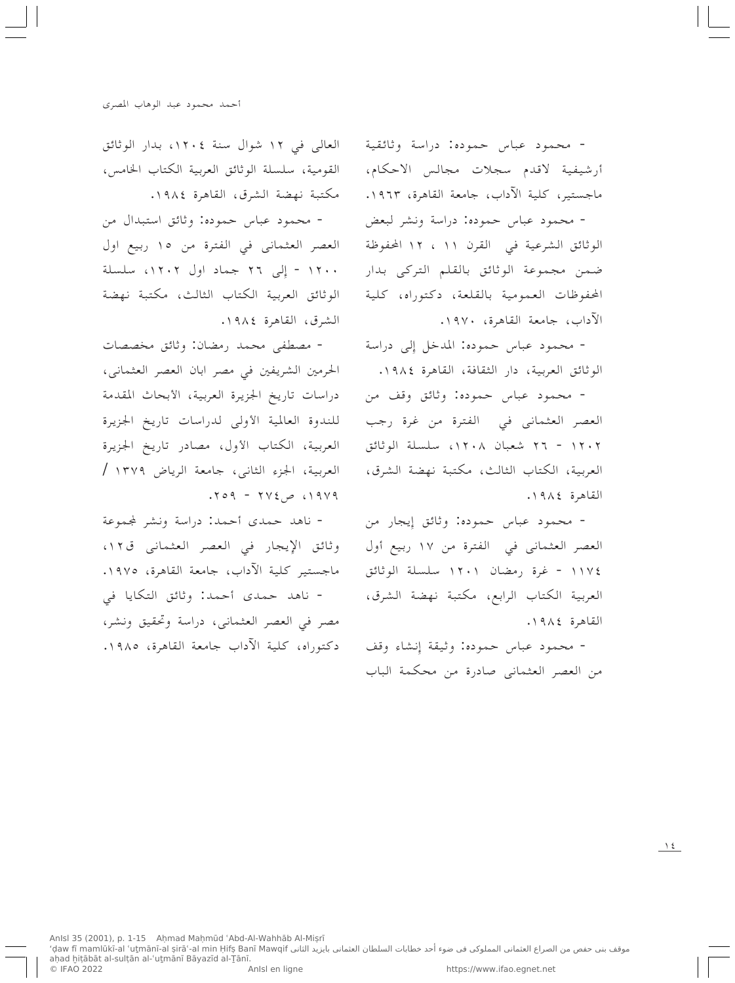- محمود عباس حموده: دراسة وثائقية أرشيفية لاقدم سجلات مجالس الاحكام، ماجستير، كلية الآداب، جامعة القاهرة، ١٩٦٣. - محمود عباس حموده: دراسة ونشر لبعض الوثائق الشرعية في القرن ١١ ، ١٢ المحفوظة ضمن مجموعة الوثائق بالقلم التركي بدار المحفوظات العمومية بالقلعة، دكتوراه، كلية الآداب، جامعة القاهرة، ١٩٧٠.

- محمود عباس حموده: المدخل إلى دراسة الوثائق العربية، دار الثقافة، القاهرة ١٩٨٤.

- محمود عباس حموده: وثائق وقف من العصر العثماني في الفترة من غرة رجب ٢٠٢١ - ٢٦ شعبان ١٢٠٨، سلسلة الوثائق العربية، الكتاب الثالث، مكتبة نهضة الشرق، القاهرة ١٩٨٤.

- محمود عباس حموده: وثائق إيجار من العصر العثماني في الفترة من ١٧ ربيع أول ١١٧٤ - غرة رمضان ١٢٠١ سلسلة الوثائق العربية الكتاب الرابع، مكتبة نهضة الشرق، القاهرة ١٩٨٤.

- محمود عباس حموده: وثيقة إنشاء وقف من العصر العثماني صادرة من محكمة الباب

العالي في ١٢ شوال سنة ١٢٠٤، بدار الوثائق القومية، سلسلة الوثائق العربية الكتاب الخامس، مكتبة نهضة الشرق، القاهرة ١٩٨٤.

- محمود عباس حموده: وثائق استبدال من العصر العثماني في الفترة من ١٥ ربيع اول ١٢٠٠ - إلى ٢٦ جماد اول ١٢٠٢، سلسلة الوثائق العربية الكتاب الثالث، مكتبة نهضة الشرق، القاهرة ١٩٨٤.

- مصطفى محمد رمضان: وثائق مخصصات الحرمين الشريفين في مصر ابان العصر العثماني، دراسات تاريخ الجزيرة العربية، الأبحاث المقدمة للندوة العالمية الأولى لدراسات تاريخ الجزيرة العربية، الكتاب الأول، مصادر تاريخ الجزيرة العربية، الجزء الثاني، جامعة الرياض ١٣٧٩ /  $.709 - 712 - 0.1919$ 

- ناهد حمدي أحمد: دراسة ونشر لمجموعة وثائق الإيجار في العصر العثماني ق١٢، ماجستير كلية الآداب، جامعة القاهرة، ١٩٧٥. - ناهد حمدي أحمد: وثائق التكايا في مصر في العصر العثماني، دراسة وتحقيق ونشر، دكتوراه، كلية الآداب جامعة القاهرة، ١٩٨٥.

 $\lambda$  2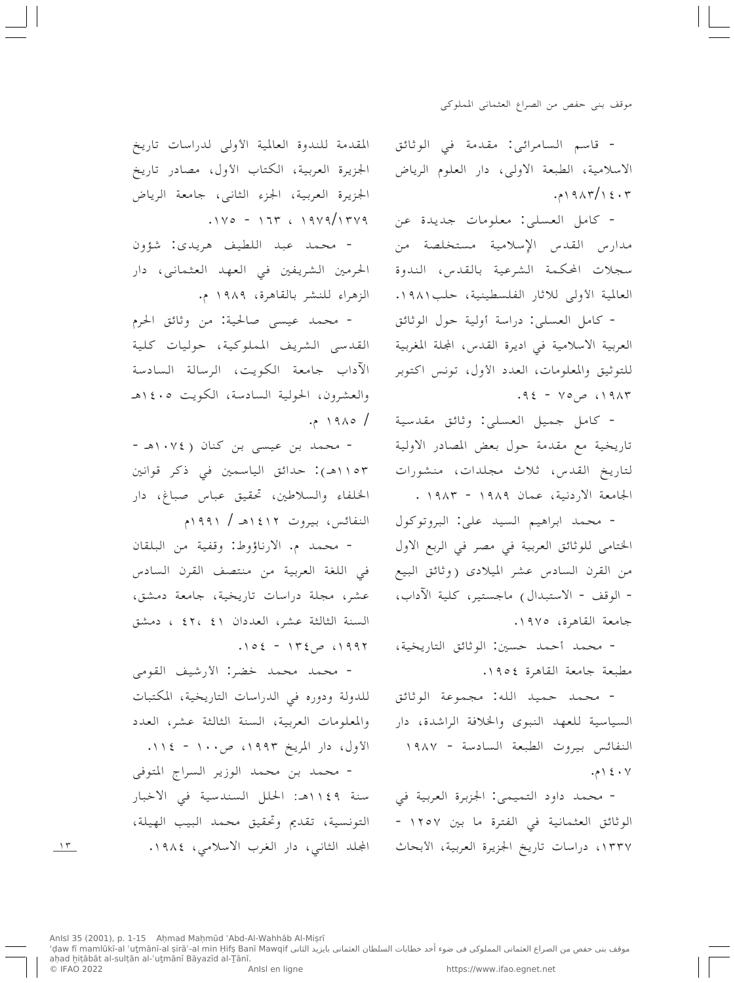- قاسم السامرائي: مقدمة في الوثائق الاسلامية، الطبعة الاولى، دار العلوم الرياض  $.219AY/12.7$ 

- كامل العسلي: معلومات جديدة عن مدارس القدس الإسلامية مستخلصة من سجلات المحكمة الشرعية بالقدس، الندوة العالمية الأولى للاثار الفلسطينية، حلب١٩٨١.

- كامل العسلي: دراسة أولية حول الوثائق العربية الاسلامية في اديرة القدس، المجلة المغربية للتوثيق والمعلومات، العدد الأول، تونس اكتوبر ۰۹ ۱۹۸۳ ص۷۵ - ۹٤.

- كامل جميل العسلي: وثائق مقدسية تاريخية مع مقدمة حول بعض المصادر الاولية لتاريخ القدس، ثلاث مجلدات، منشورات الجامعة الاردنية، عمان ١٩٨٩ - ١٩٨٣.

- محمد ابراهيم السيد على: البروتوكول الختامي للوثائق العربية في مصر في الربع الاول من القرن السادس عشر الميلادي (وثائق البيع - الوقف - الاستبدال) ماجستير، كلية الآداب، جامعة القاهرة، ١٩٧٥.

- محمد أحمد حسين: الوثائق التاريخية، مطبعة جامعة القاهرة ١٩٥٤.

- محمد حميد الله: مجموعة الوثائق السياسية للعهد النبوي والخلافة الراشدة، دار النفائس بيروت الطبعة السادسة - ١٩٨٧ ۰۶  $\rightarrow$  ۱۶۰۷

- محمد داود التميمي: الجزبرة العربية في الوثائق العثمانية في الفترة ما بين ١٢٥٧ -١٣٣٧، دراسات تاريخ الجزيرة العربية، الأبحاث

المقدمة للندوة العالمية الأولى لدراسات تاريخ الجزيرة العربية، الكتاب الأول، مصادر تاريخ الجزيرة العربية، الجزء الثانبي، جامعة الرياض  $.1 \vee \circ - 175$  (1989/1589)

- محمد عبد اللطيف هريدي: شؤون الحرمين الشريفين في العهد العثماني، دار الزهراء للنشر بالقاهرة، ١٩٨٩ م.

- محمد عيسى صالحية: من وثائق الحرم القدسى الشريف المملوكية، حوليات كلية الآداب جامعة الكويت، الرسالة السادسة والعشرون، الحولية السادسة، الكويت ١٤٠٥هـ  $.219A0/$ 

- محمد بن عیسی بن کنان ( ۱۰۷٤هـ -١١٥٣هـ): حدائق الياسمين في ذكر قوانين الخلفاء والسلاطين، تحقيق عباس صباغ، دار النفائس، بيروت ١٤١٢هـ / ١٩٩١م

- محمد م. الارناؤوط: وقفية من البلقان في اللغة العربية من منتصف القرن السادس عشر، مجلة دراسات تاريخية، جامعة دمشق، السنة الثالثة عشر، العددان ٤١ ،٤٢ ، دمشق  $.102 - 172$ ص 199۲.

- محمد محمد خضر: الأرشيف القومي للدولة ودوره في الدراسات التاريخية، المكتبات والمعلومات العربية، السنة الثالثة عشر، العدد الأول، دار المريخ ١٩٩٣، ص١٠٠ - ١١٤.

- محمد بن محمد الوزير السراج المتوفى سنة ١١٤٩هـ: الحلل السندسية في الاخبار التونسية، تقديم وتحقيق محمد البيب الهيلة، المجلد الثانبي، دار الغرب الاسلامي، ١٩٨٤.

 $\gamma$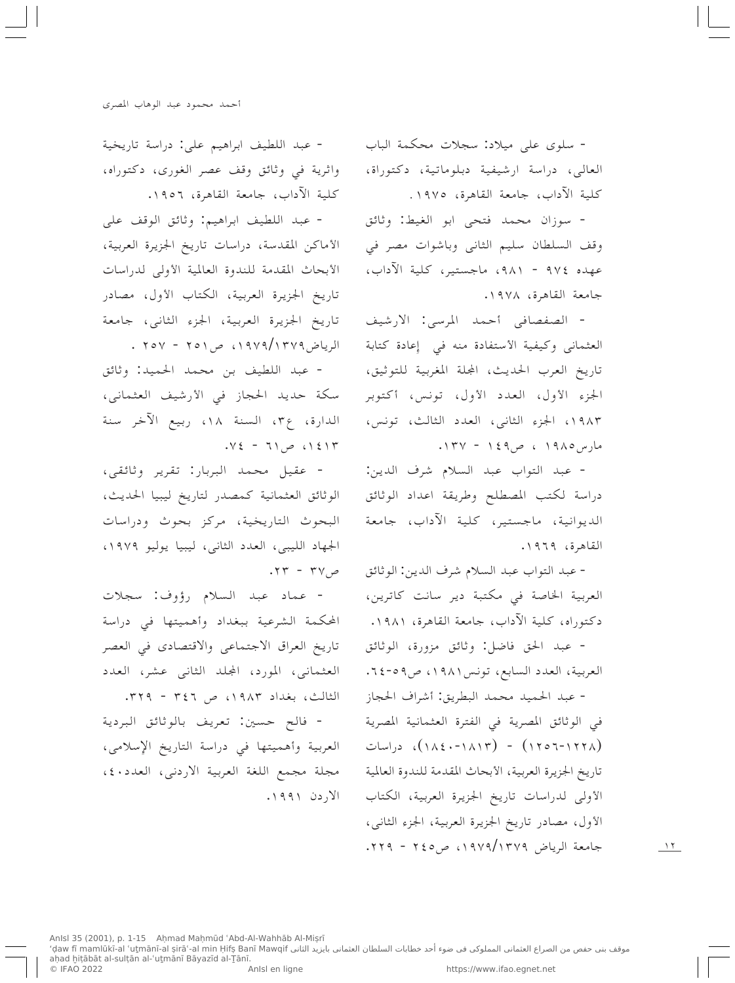- سلوی علی میلاد: سجلات محکمة الباب العالي، دراسة ارشيفية دبلوماتية، دكتوراة، كلية الآداب، جامعة القاهرة، ١٩٧٥.

- سوزان محمد فتحى ابو الغيط: وثائق وقف السلطان سليم الثاني وباشوات مصر في عهده ٩٧٤ - ٩٨١، ماجستير، كلية الآداب، جامعة القاهرة، ١٩٧٨.

- الصفصافي أحمد المرسى: الارشيف العثماني وكيفية الأستفادة منه في إعادة كتابة تاريخ العرب الحديث، المجلة المغربية للتوثيق، الجزء الأول، العدد الأول، تونس، أكتوبر ١٩٨٣، الجزء الثانبي، العدد الثالث، تونس، مارس ١٩٨٥ ، ص٤٩ - ١٣٧.

- عبد التواب عبد السلام شرف الدين: دراسة لكتب المصطلح وطريقة اعداد الوثائق الديوانية، ماجستير، كلية الآداب، جامعة القاهرة، ١٩٦٩.

- عبد التواب عبد السلام شرف الدين: الوثائق مل ٣٧ - ٢٣. العربية الخاصة في مكتبة دير سانت كاترين، دكتوراه، كلية الآداب، جامعة القاهرة، ١٩٨١.

> - عبد الحق فاضل: وثائق مزورة، الوثائق العربية، العدد السابع، تونس١٩٨١، ص٥-٢٤.

> - عبد الحميد محمد البطريق: أشراف الحجاز في الوثائق المصرية في الفترة العثمانية المصرية (۱۲۲۸–۱۲۵۲) - (۱۸۱۳–۱۸٤۰)، دراسات تاريخ الجزيرة العربية، الأبحاث المقدمة للندوة العالمية الأولى لدراسات تاريخ الجزيرة العربية، الكتاب الأول، مصادر تاريخ الجزيرة العربية، الجزء الثانبي، جامعة الرياض ١٩٧٩/١٣٧٩، ص٢٤٥ - ٢٢٩.

- عبد اللطيف ابراهيم على: دراسة تاريخية واثرية في وثائق وقف عصر الغوري، دكتوراه، كلية الآداب، جامعة القاهرة، ١٩٥٦.

- عبد اللطيف ابراهيم: وثائق الوقف على الأماكن المقدسة، دراسات تاريخ الجزيرة العربية، الأبحاث المقدمة للندوة العالمية الأولى لدراسات تاريخ الجزيرة العربية، الكتاب الأول، مصادر تاريخ الجزيرة العربية، الجزء الثانبي، جامعة الرياض ١٩٧٩/١٣٧٩، ص ٢٥١ - ٢٥٧ .

- عبد اللطيف بن محمد الحميد: وثائق سكة حديد الحجاز في الأرشيف العثماني، الدارة، ع٣، السنة ١٨، ربيع الآخر سنة  $\sqrt{2}$  / )  $\sqrt{2}$  / ) = 11.

- عقيل محمد البربار: تقرير وثائقي، الوثائق العثمانية كمصدر لتاريخ ليبيا الحديث، البحوث التاريخية، مركز بحوث ودراسات الجهاد الليبي، العدد الثاني، ليبيا يوليو ١٩٧٩،

- عماد عبد السلام رؤوف: سجلات المحكمة الشرعية ببغداد وأهميتها في دراسة تاريخ العراق الاجتماعي والاقتصادي في العصر العثماني، المورد، المجلد الثاني عشر، العدد الثالث، بغداد ١٩٨٣، ص ٣٤٦ - ٣٢٩.

- فالح حسين: تعريف بالوثائق البردية العربية وأهميتها في دراسة التاريخ الإسلامي، مجلة مجمع اللغة العربية الاردني، العدد٤٠، الاردن ۱۹۹۱.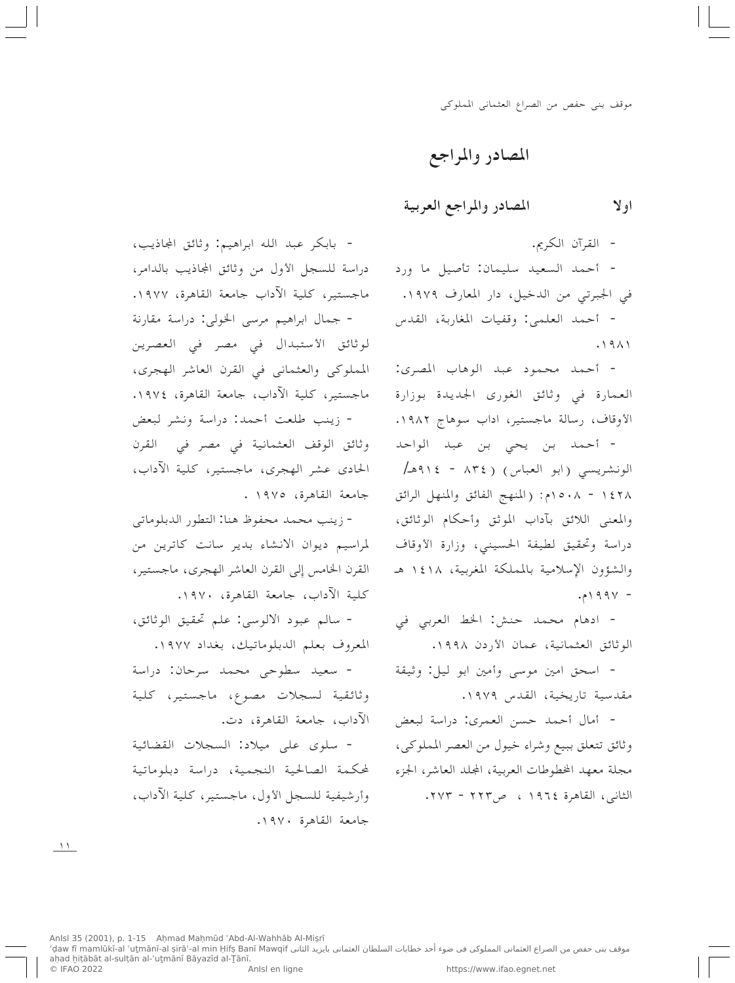المصادر والمراجع

المصادر والمراجع العربية او لا

- القرآن الكريم.

- أحمد السعيد سليمان: تأصيل ما ورد في الجبرتي من الدخيل، دار المعارف ١٩٧٩. - أحمد العلمي: وقفيات المغاربة، القدس  $.1911$ 

- أحمد محمود عبد الوهاب المصرى: العمارة في وثائق الغوري الجديدة بوزارة الأوقاف، رسالة ماجستير، اداب سوهاج ١٩٨٢.

- أحمد بن يحي بن عبد الواحد الونشريسي (ابو العباس) (١٣٤ - ٩١٤هـ/ ١٤٢٨ - ١٥٠٨م: (المنهج الفائق والمنهل الرائق والمعنى اللائق بآداب الموثق وأحكام الوثائق، دراسة وتحقيق لطيفة الحسينبي، وزارة الأوقاف والشؤون الإسلامية بالمملكة المغربية، ١٤١٨ هـ  $.994 -$ 

- ادهام محمد حنش: الخط العربي في الوثائق العثمانية، عمان الأردن ١٩٩٨.

- اسحق امين موسى وأمين ابو ليل: وثيقة مقدسية تاريخية، القدس ١٩٧٩.

- أمال أحمد حسن العمري: دراسة لبعض وثائق تتعلق ببيع وشراء خيول من العصر المملوكي، مجلة معهد المخطوطات العربية، المجلد العاشر، الجزء الثاني، القاهرة ١٩٦٤ ، ص٢٢٣ - ٢٧٣.

- بابكر عبد الله ابراهيم: وثائق المجاذيب، دراسة للسجل الأول من وثائق المجاذيب بالدامر، ماجستير، كلية الآداب جامعة القاهرة، ١٩٧٧. - جمال ابراهيم مرسى الخولي: دراسة مقارنة لوثائق الأستبدال في مصر في العصرين المملوكي والعثماني في القرن العاشر الهجري، ماجستير، كلية الآداب، جامعة القاهرة، ١٩٧٤. - زينب طلعت أحمد: دراسة ونشر لبعض

وثائق الوقف العثمانية في مصر في القرن الحادي عشر الهجري، ماجستير، كلية الآداب، جامعة القاهرة، ١٩٧٥.

- زينب محمد محفوظ هنا: التطور الدبلوماتي لمراسيم ديوان الانشاء بدير سانت كاترين من القرن الخامس إلى القرن العاشر الهجري، ماجستير، كلية الآداب، جامعة القاهرة، ١٩٧٠.

- سالم عبود الالوسي: علم تحقيق الوثائق، المعروف بعلم الدبلوماتيك، بغداد ١٩٧٧.

- سعيد سطوحي محمد سرحان: دراسة وثائقية لسجلات مصوع، ماجستير، كلية الآداب، جامعة القاهرة، دت.

- سلوى على ميلاد: السجلات القضائية لمحكمة الصالحية النجمية، دراسة دبلوماتية وأرشيفية للسجل الأول، ماجستير، كلية الآداب، جامعة القاهرة ١٩٧٠.

 $\Delta$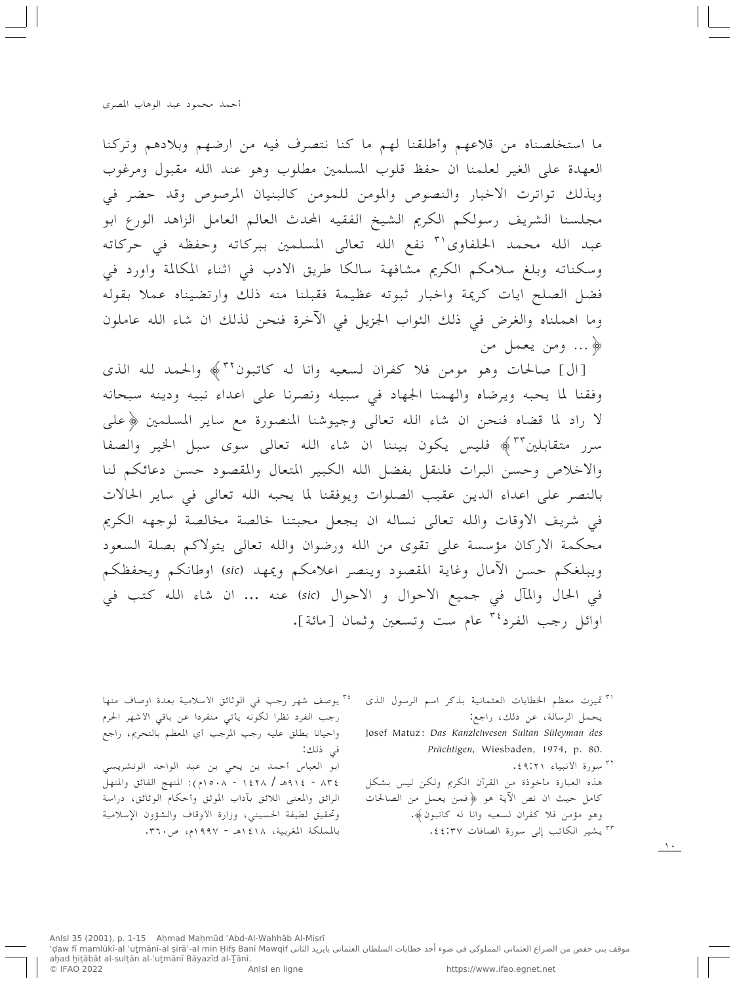ما استخلصناه من قلاعهم وأطلقنا لهم ما كنا نتصرف فيه من ارضهم وبلادهم وتركنا العهدة على الغير لعلمنا ان حفظ قلوب المسلمين مطلوب وهو عند الله مقبول ومرغوب وبذلك تواترت الاخبار والنصوص والمومن للمومن كالبنيان المرصوص وقد حضر في مجلسنا الشريف رسولكم الكريم الشيخ الفقيه المحدث العالم العامل الزاهد الورع ابو عبد الله محمد الحلفاوي' " نفع الله تعالى المسلمين ببركاته وحفظه في حركاته وسكناته وبلغ سلامكم الكريم مشافهة سالكا طريق الادب في اثناء المكالمة واورد في فضل الصلح ايات كريمة واخبار ثبوته عظيمة فقبلنا منه ذلك وارتضيناه عملا بقوله وما اهملناه والغرض في ذلك الثواب الجزيل في الآخرة فنحن لذلك ان شاء الله عاملون ﴿ ... ومن يعمل من

[ال] صالحات وهو مومن فلا كفران لسعيه وانا له كاتبون ٣٢ ﴾ والحمد لله الذي وفقنا لما يحبه ويرضاه والهمنا الجهاد في سبيله ونصرنا على اعداء نبيه ودينه سبحانه لا راد لما قضاه فنحن ان شاء الله تعالى وجيوشنا المنصورة مع ساير المسلمين ﴿على سرر متقابلين ٣٣ ﴾ فليس يكون بيننا ان شاء الله تعالى سوى سبل الخير والصفا والاخلاص وحسن البرات فلنقل بفضل الله الكبير المتعال والمقصود حسن دعائكم لنا بالنصر على اعداء الدين عقيب الصلوات ويوفقنا لما يحبه الله تعالى في ساير الحالات في شريف الاوقات والله تعالى نساله ان يجعل محبتنا خالصة مخالصة لوجهه الكريم محكمة الاركان مؤسسة على تقوى من الله ورضوان والله تعالى يتولاكم بصلة السعود ويبلغكم حسن الآمال وغاية المقصود وينصر اعلامكم ويمهد (sic) اوطانكم ويحفظكم في الحال والمآل في جميع الاحوال و الاحوال (sic) عنه ... ان شاء الله كتب في اوائل رجب الفرد<sup>٣٤</sup> عام ست وتسعين وثمان [مائة].

> <sup>۳۱</sup> تميزت معظم الخطابات العثمانية بذكر اسم الرسول الذي يحمل الرسالة، عن ذلك، راجع: Josef Matuz: Das Kanzleiwesen Sultan Süleyman des Prächtigen, Wiesbaden, 1974, p. 80. <sup>٣٢</sup> سورة الأنبياء ٤٩:٢١ ٤. هذه العبارة مأخوذة من القرآن الكريم ولكن ليس بشكل كامل حيث ان نص الآية هو ﴿فمن يعمل من الصالحات وهو مؤمن فلا كفران لسعيه وانا له كاتبون﴾.

> > <sup>۳۳</sup> يشير الكاتب إلى سورة الصافات ٤٤:٣٧.

<sup>٣٤</sup> يوصف شهر رجب في الوثائق الأسلامية بعدة اوصاف منها رجب الفرد نظرا لكونه يأتي منفردا عن باقي الأشهر الحرم واحيانا يطلق عليه رجب المرجب أي المعظم بالتحريم، راجع في ذلك: ابو العباس أحمد بن يحي بن عبد الواحد الونشريسي ٢٤٢ - ٩١٤هـ / ١٤٢٨ - ١٥٠٨م): المنهج الفائق والمنهل الرائق والمعنى اللائق بآداب الموثق وأحكام الوثائق، دراسة وتحقيق لطيفة الحسينبي، وزارة الأوقاف والشؤون الإسلامية بالمملكة المغربية، ١٤١٨هـ - ١٩٩٧م، ص٣٦٠.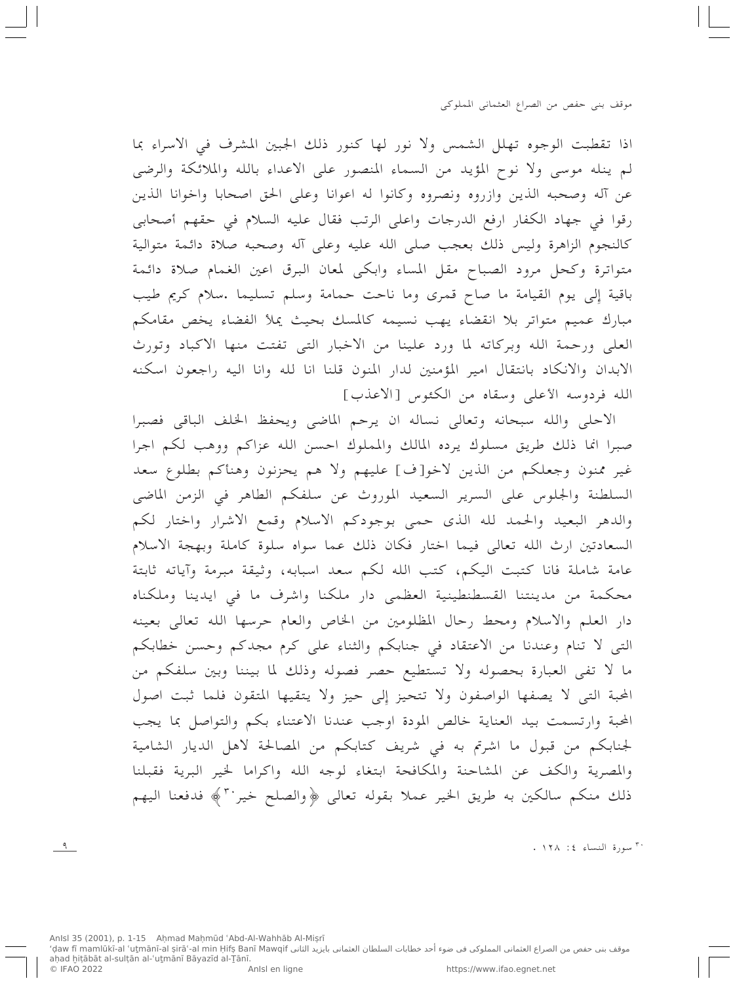اذا تقطبت الوجوه تهلل الشمس ولا نور لها كنور ذلك الجبين المشرف في الاسراء بما لم ينله موسى ولا نوح المؤيد من السماء المنصور على الاعداء بالله والملائكة والرضى عن آله وصحبه الذين وازروه ونصروه وكانوا له اعوانا وعلى الحق اصحابا واخوانا الذين رقوا في جهاد الكفار ارفع الدرجات واعلى الرتب فقال عليه السلام في حقهم أصحابي كالنجوم الزاهرة وليس ذلك بعجب صلى الله عليه وعلى آله وصحبه صلاة دائمة متوالية متواترة وكحل مرود الصباح مقل المساء وابكي لمعان البرق اعين الغمام صلاة دائمة باقية إلى يوم القيامة ما صاح قمرى وما ناحت حمامة وسلم تسليما .سلام كريم طيب مبارك عميم متواتر بلا انقضاء يهب نسيمه كالمسك بحيث يملأ الفضاء يخص مقامكم العلى ورحمة الله وبركاته لما ورد علينا من الاخبار التي تفتت منها الاكباد وتورث الابدان والانكاد بانتقال امير المؤمنين لدار المنون قلنا انا لله وانا اليه راجعون اسكنه الله فردوسه الأعلى وسقاه من الكئوس [الاعذب]

الاحلى والله سبحانه وتعالى نساله ان يرحم الماضي ويحفظ الخلف الباقى فصبرا صبرا انما ذلك طريق مسلوك يرده المالك والمملوك احسن الله عزاكم ووهب لكم اجرا غير ممنون وجعلكم من الذين لاخو[ف] عليهم ولا هم يحزنون وهنأكم بطلوع سعد السلطنة والجلوس على السرير السعيد الموروث عن سلفكم الطاهر في الزمن الماضي والدهر البعيد والحمد لله الذي حمى بوجودكم الاسلام وقمع الاشرار واختار لكم السعادتين ارث الله تعالى فيما اختار فكان ذلك عما سواه سلوة كاملة وبهجة الاسلام عامة شاملة فانا كتبت اليكم، كتب الله لكم سعد اسبابه، وثيقة مبرمة وآياته ثابتة محكمة من مدينتنا القسطنطينية العظمى دار ملكنا واشرف ما في ايدينا وملكناه دار العلم والاسلام ومحط رحال المظلومين من الخاص والعام حرسها الله تعالى بعينه التبي لا تنام وعندنا من الاعتقاد في جنابكم والثناء على كرم مجدكم وحسن خطابكم ما لا تفي العبارة بحصوله ولا تستطيع حصر فصوله وذلك لما بيننا وبين سلفكم من المحبة التي لا يصفها الواصفون ولا تتحيز إلى حيز ولا يتقيها المتقون فلما ثبت اصول المحبة وارتسمت بيد العناية خالص المودة اوجب عندنا الاعتناء بكم والتواصل بما يجب لجنابكم من قبول ما اشرتم به في شريف كتابكم من المصالحة لاهل الديار الشامية والمصرية والكف عن المشاحنة والمكافحة ابتغاء لوجه الله واكراما لخير البرية فقبلنا ذلك منكم سالكين به طريق الخير عملا بقوله تعالى ﴿والصلح خير ٣ ﴾ فدفعنا اليهم

. ١٢٨ :٤ سورة النساء ٤: ١٢٨ .

 $\frac{q}{1}$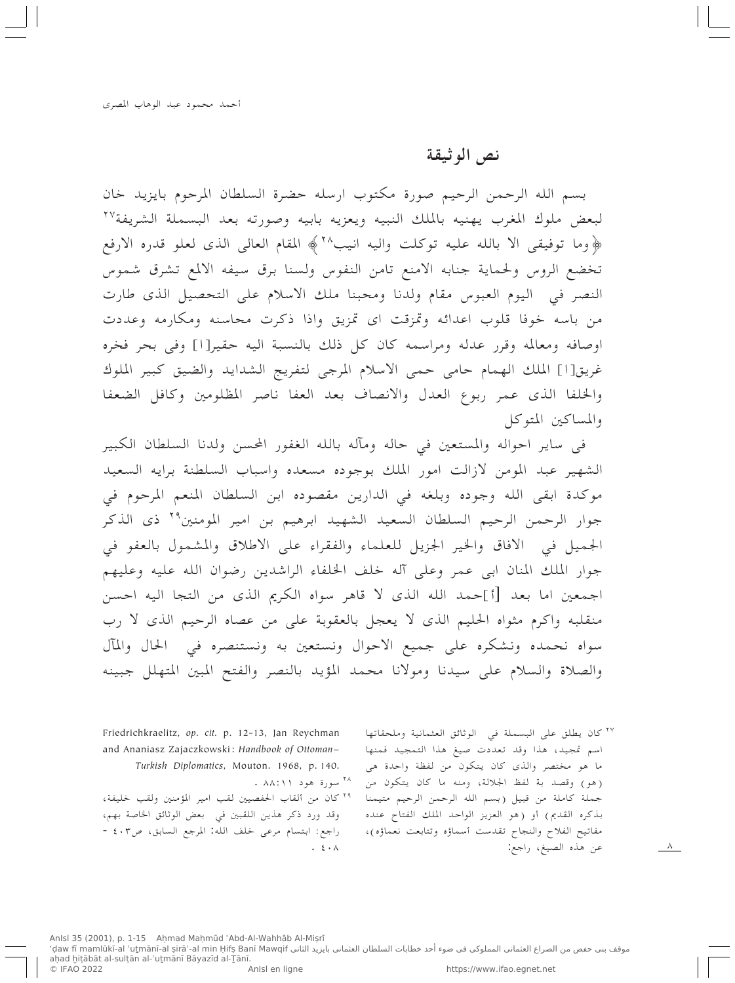### نص الوثيقة

بسم الله الرحمن الرحيم صورة مكتوب ارسله حضرة السلطان المرحوم بايزيد خان لبعض ملوك المغرب يهنيه بالملك النبيه ويعزيه بابيه وصورته بعد البسملة الشريفة ٢٧ ﴿وما توفيقي الا بالله عليه توكلت واليه انيب ٢٨ ﴾ المقام العالي الذي لعلو قدره الارفع تخضع الروس ولحماية جنابه الامنع تامن النفوس ولسنا برق سيفه الالمع تشرق شموس النصر في اليوم العبوس مقام ولدنا ومحبنا ملك الاسلام على التحصيل الذي طارت من باسه خوفا قلوب اعدائه وتمزقت اي تمزيق واذا ذكرت محاسنه ومكارمه وعددت اوصافه ومعالمه وقرر عدله ومراسمه كان كل ذلك بالنسبة اليه حقير[ا] وفي بحر فخره غريق[۱] الملك الهمام حامى حمى الاسلام المرجى لتفريج الشدايد والضيق كبير الملوك والخلفا الذي عمر ربوع العدل والانصاف بعد العفا ناصر المظلومين وكافل الضعفا والمساكين المتوكل

في ساير احواله والمستعين في حاله ومآله بالله الغفور المحسن ولدنا السلطان الكبير الشهير عبد المومن لازالت امور الملك بوجوده مسعده واسباب السلطنة برايه السعيد موكدة ابقى الله وجوده وبلغه في الدارين مقصوده ابن السلطان المنعم المرحوم في جوار الرحمن الرحيم السلطان السعيد الشهيد ابرهيم بن امير المومنين<sup>٢٩</sup> ذي الذكر الجميل في الافاق والخير الجزيل للعلماء والفقراء على الاطلاق والمشمول بالعفو في جوار الملك المنان ابي عمر وعلى آله خلف الخلفاء الراشدين رضوان الله عليه وعليهم اجمعين اما بعد [أ]حمد الله الذي لا قاهر سواه الكريم الذي من التجا اليه احسن منقلبه واكرم مثواه الحليم الذي لا يعجل بالعقوبة على من عصاه الرحيم الذي لا رب سواه نحمده ونشكره على جميع الاحوال ونستعين به ونستنصره في الحال والمآل والصلاة والسلام على سيدنا ومولانا محمد المؤيد بالنصر والفتح المبين المتهلل جبينه

> ٢٧ كان يطلق على البسملة في الوثائق العثمانية وملحقاتها اسم تمجيد، هذا وقد تعددت صيغ هذا التمجيد فمنها ما هو مختصر والذي كان يتكون من لفظة واحدة هي (هو) وقصد بة لفظ الجلالة، ومنه ما كان يتكون من جملة كاملة من قبيل (بسم الله الرحمن الرحيم متيمنا بذكره القديم) أو (هو العزيز الواحد الملك الفتاح عنده مفاتيح الفلاح والنجاح تقدست أسماؤه وتتابعت نعماؤه)، عن هذه الصيغ، راجع:

 $\Lambda$ 

Friedrichkraelitz, op. cit. p. 12-13, Jan Reychman and Ananiasz Zajaczkowski: Handbook of Ottoman-Turkish Diplomatics, Mouton. 1968, p. 140. <sup>۲۸</sup> سورة هود ۸۸:۱۱ . ٢٩ كان من ألقاب الحفصيين لقب امير المؤمنين ولقب خليفة،

وقد ورد ذكر هذين اللقبين في بعض الوثائق الخاصة بهم، راجع: ابتسام مرعى خلف الله: المرجع السابق، ص٤٠٣ -.  $\mathbf{\hat{z}}\cdot\mathbf{\Lambda}$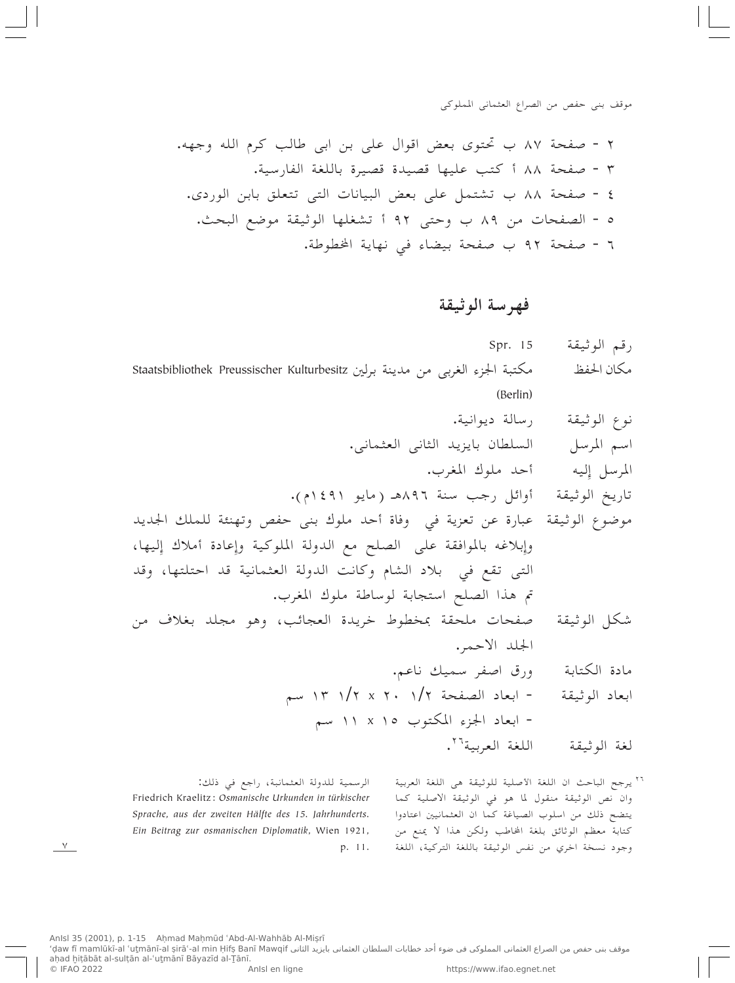## فهرسة الوثيقة

- Spr. 15 رقم الوثيقة مكتبة الجزء الغربي من مدينة برلين Staatsbibliothek Preussischer Kulturbesitz مكان الحفظ (Berlin) نوع الوثيقة رسالة ديوانية. السلطان بايزيد الثاني العثماني. اسم المرسل أحد ملوك المغرب. المرسل إليه تاريخ الوثيقة أوائل رجب سنة ٨٩٦هـ (مايو ١٤٩١م). موضوع الوثيقة عبارة عن تعزية في وفاة أحد ملوك بني حفص وتهنئة للملك الجديد وإبلاغه بالموافقة على الصلح مع الدولة الملوكية وإعادة أملاك إليها، التي تقع في بلاد الشام وكانت الدولة العثمانية قد احتلتها، وقد تم هذا الصلح استجابة لوساطة ملوك المغرب. صفحات ملحقة بمخطوط خريدة العجائب، وهو مجلد بغلاف من شكل الوثيقة الجلد الاحمر. مادة الكتابة ورق اصفر سميك ناعم. - ابعاد الصفحة ١/٢ x ٢٠ /١٣ سم ابعاد الوثيقة - ابعاد الجزء المكتوب ١٥ x ١١ سم اللغة العربية<sup>٢٦</sup>. لغة الوثيقة
	- <sup>٢٦</sup> يرجح الباحث ان اللغة الأصلية للوثيقة هي اللغة العربية وان نص الوثيقة منقول لما هو في الوثيقة الاصلية كما يتضح ذلك من اسلوب الصياغة كما ان العثمانيين اعتادوا كتابة معظم الوثائق بلغة المخاطب ولكن هذا لا يمنع من وجود نسخة اخري من نفس الوثيقة باللغة التركية، اللغة

الرسمية للدولة العثمانية، راجع في ذلك: Friedrich Kraelitz: Osmanische Urkunden in türkischer Sprache, aus der zweiten Hälfte des 15. Jahrhunderts. Ein Beitrag zur osmanischen Diplomatik, Wien 1921, p. 11.

 $\vee$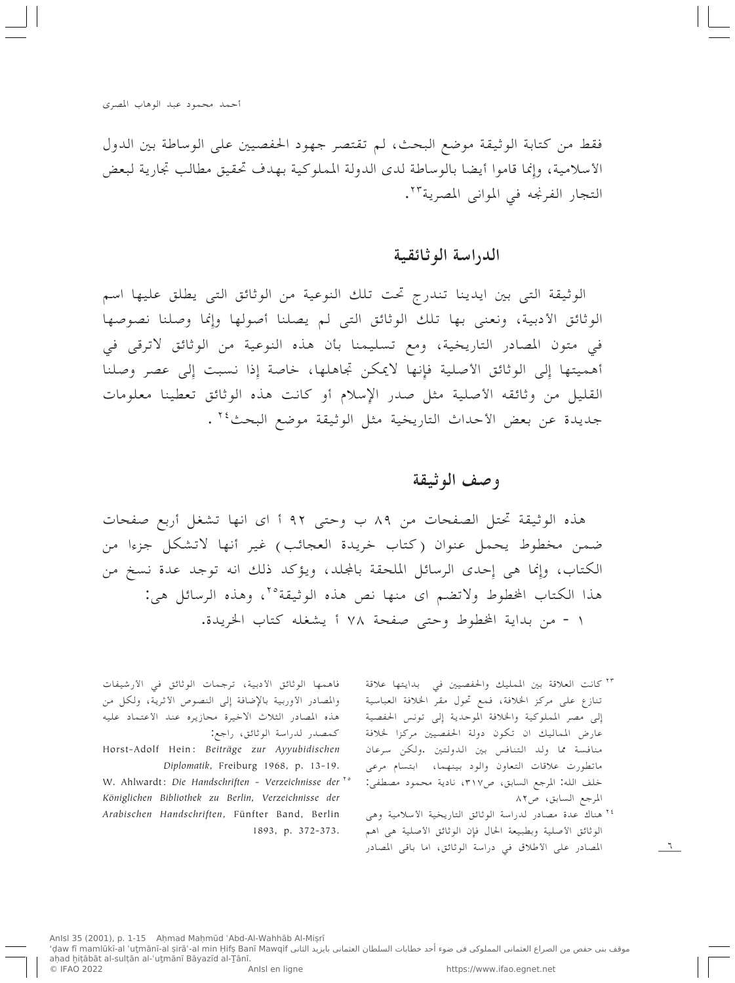فقط من كتابة الوثيقة موضع البحث، لم تقتصر جهود الحفصيين على الوساطة بين الدول الأسلامية، وإنما قاموا أيضا بالوساطة لدى الدولة المملوكية بهدف تحقيق مطالب تجارية لبعض التجار الفرنجه في المواني المصرية<sup>٢٣</sup>.

## الدراسة الو ثائقية

الوثيقة التي بين ايدينا تندرج تحت تلك النوعية من الوثائق التي يطلق عليها اسم الوثائق الأدبية، ونعني بها تلك الوثائق التبي لم يصلنا أصولها وإنما وصلنا نصوصها في متون المصادر التاريخية، ومع تسليمنا بأن هذه النوعية من الوثائق لاترقى في أهميتها إلى الوثائق الأصلية فإنها لايمكن تجاهلها، خاصة إذا نسبت إلى عصر وصلنا القليل من وثائقه الأصلية مثل صدر الإسلام أو كانت هذه الوثائق تعطينا معلومات جديدة عن بعض الأحداث التاريخية مثل الوثيقة موضع البحث<sup>٢٤</sup>.

# وصف الوثيقة

هذه الوثيقة تحتل الصفحات من ٨٩ ب وحتى ٩٢ أ اى انها تشغل أربع صفحات ضمن مخطوط يحمل عنوان (كتاب خريدة العجائب) غير أنها لاتشكل جزءا من الكتاب، وإنما هي إحدى الرسائل الملحقة بالمجلد، ويؤكد ذلك انه توجد عدة نسخ من هذا الكتاب الخطوط ولاتضم اي منها نص هذه الوثيقة ٢٥، وهذه الرسائل هي: ١ - من بداية الخطوط وحتى صفحة ٧٨ أيشغله كتاب الخريدة.

- ٢٣ كانت العلاقة بين الممليك والحفصيين في بدايتها علاقة تنازع على مركز الخلافة، فمع تحول مقر الخلافة العباسية إلى مصر المملوكية والخلافة الموحدية إلى تونس الحفصية عارض المماليك ان تكون دولة الحفصيين مركزا لخلافة منافسة مما ولد التنافس بين الدولتين .ولكن سرعان ماتطورت علاقات التعاون والود بينهما، ابتسام مرعى خلف الله: المرجع السابق، ص٣١٧، نادية محمود مصطفى: المرجع السابق، ص٨٢
- ٢٤ هناك عدة مصادر لدراسة الوثائق التاريخية الأسلامية وهي الوثائق الأصلية وبطبيعة الحال فإن الوثائق الأصلية هي اهم المصادر على الأطلاق في دراسة الوثائق، اما باقي المصادر

 $\mathcal{L}$ 

فاهمها الوثائق الأدبية، ترجمات الوثائق في الأرشيفات والمصادر الأوربية بالإضافة إلى النصوص الأثرية، ولكل من هذه المصادر الثلاث الاخيرة محازيره عند الأعتماد عليه كمصدر لدراسة الوثائق، راجع:

- Horst-Adolf Hein: Beiträge zur Ayyubidischen Diplomatik, Freiburg 1968, p. 13-19.
- W. Ahlwardt: Die Handschriften Verzeichnisse der vo Königlichen Bibliothek zu Berlin, Verzeichnisse der Arabischen Handschriften, Fünfter Band, Berlin 1893, p. 372-373.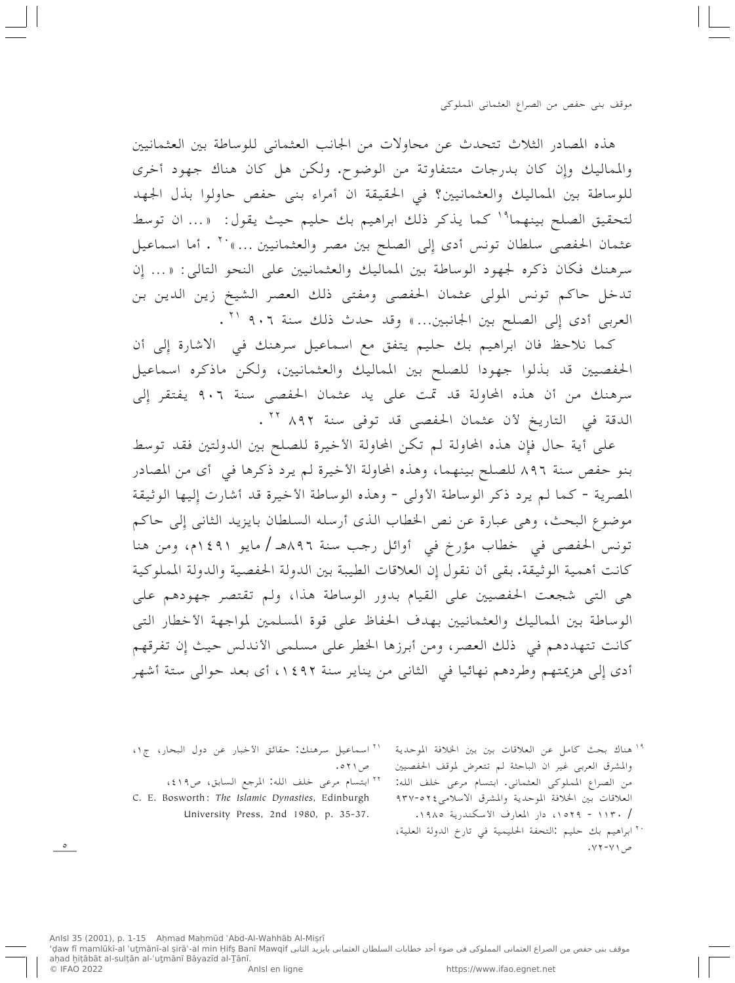هذه المصادر الثلاث تتحدث عن محاولات من الجانب العثماني للوساطة بين العثمانيين والمماليك وإن كان بدرجات متتفاوتة من الوضوح. ولكن هل كان هناك جهود أخرى للوساطة بين المماليك والعثمانيين؟ في الحقيقة ان أمراء بني حفص حاولوا بذل الجهد لتحقيق الصلح بينهما<sup>19</sup> كما يذكر ذلك ابراهيم بك حليم حيث يقول: «... ان توسط عثمان الحفصي سلطان تونس أدى إلى الصلح بين مصر والعثمانيين ... » `` . أما اسماعيل سرهنك فكان ذكره لجهود الوساطة بين المماليك والعثمانيين على النحو التالي: «... إِن تدخل حاكم تونس المولى عثمان الحفصى ومفتى ذلك العصر الشيخ زين الدين بن العربي أدى إِلى الصلح بين الجانبين... » وقد حدث ذلك سنة ٩٠٦ ' " .

كما نلاحظ فان ابراهيم بك حليم يتفق مع اسماعيل سرهنك في الاشارة إلى أن الحفصيين قد بذلوا جهودا للصلح بين المماليك والعثمانيين، ولكن ماذكره اسماعيل سرهنك من أن هذه المحاولة قد تمت على يد عثمان الحفصى سنة ٩٠٦ يفتقر إلى الدقة في التاريخ لأن عثمان الحفصي قد توفي سنة ٨٩٢ ٢٠ .

على أية حال فإن هذه المحاولة لم تكن المحاولة الأخيرة للصلح بين الدولتين فقد توسط بنو حفص سنة ٨٩٦ للصلح بينهما، وهذه المحاولة الأخيرة لم يرد ذكرها في أي من المصادر المصرية - كما لم يرد ذكر الوساطة الأولى - وهذه الوساطة الأخيرة قد أشارت إليها الوثيقة موضوع البحث، وهي عبارة عن نص الخطاب الذي أرسله السلطان بايزيد الثاني إلى حاكم تونس الحفصي في خطاب مؤرخ في أوائل رجب سنة ٨٩٦هـ / مايو ١٤٩١م، ومن هنا كانت أهمية الوثيقة. بقى أن نقول إن العلاقات الطيبة بين الدولة الحفصية والدولة المملوكية هي التبي شجعت الحفصيين على القيام بدور الوساطة هذا، ولم تقتصر جهودهم على الوساطة بين المماليك والعثمانيين بهدف الحفاظ على قوة المسلمين لمواجهة الأخطار التبي كانت تتهددهم في ذلك العصر، ومن أبرزها الخطر على مسلمي الأندلس حيث إن تفرقهم أدى إِلى هزيمتهم وطردهم نهائيا في الثاني من يناير سنة ١٤٩٢، أي بعد حوالي ستة أشهر

> <sup>19</sup> هناك بحث كامل عن العلاقات بين بين الخلافة الموحدية والمشرق العربي غير ان الباحثة لم تتعرض لموقف الحفصيين من الصراع المملوكي العثماني. ابتسام مرعى خلف الله: العلاقات بين الخلافة الموحدية والمشرق الاسلامي ٢٤-٩٣٧ / ١١٣٠ - ١٥٢٩، دار المعارف الأسكندرية ١٩٨٥. `` ابراهيم بك حليم :التحفة الحليمية في تارخ الدولة العلية، ص ١٧١-١٧٠.

`` اسماعيل سرهنك: حقائق الأخبار عن دول البحار، ج١، ص ۲۱ ه. " ابتسام مرعى خلف الله: المرجع السابق، ص١٩، C. E. Bosworth: The Islamic Dynasties, Edinburgh University Press, 2nd 1980, p. 35-37.

 $\circ$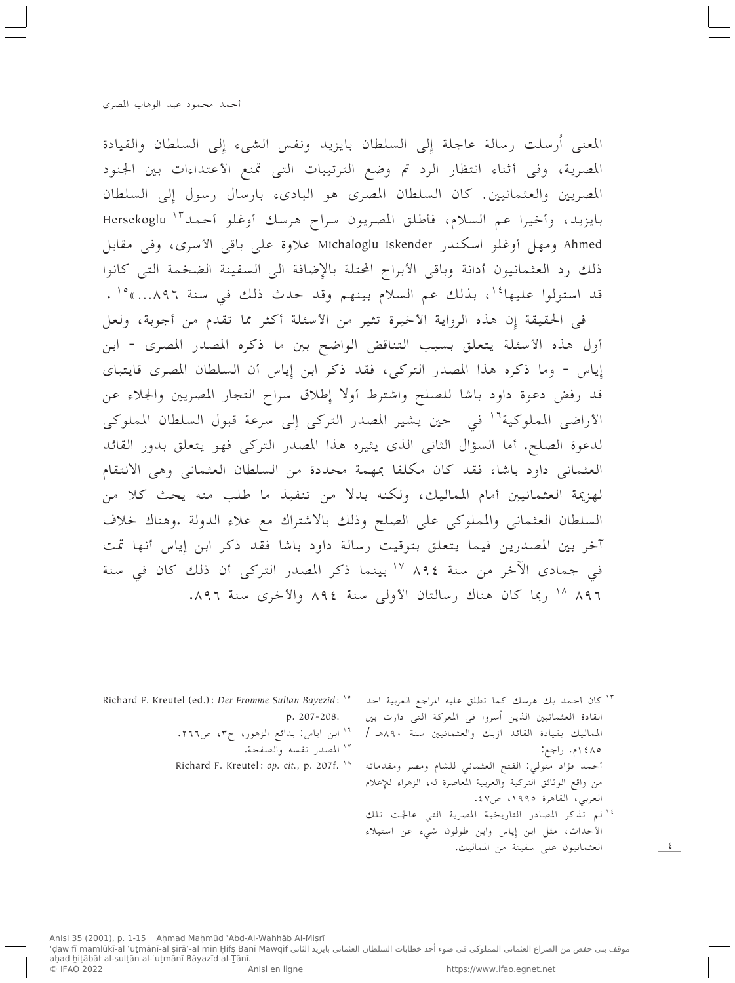المعنى أرسلت رسالة عاجلة إلى السلطان بايزيد ونفس الشيء إلى السلطان والقيادة المصرية، وفي أثناء انتظار الرد تم وضع الترتيبات التي تمنع الأعتداءات بين الجنود المصريين والعثمانيين. كان السلطان المصري هو الباديء بارسال رسول إلى السلطان بايزيد، وأخيرا عم السلام، فأطلق المصريون سراح هرسك أوغلو أحمد "` Hersekoglu Ahmed ومهل أوغلو اسكندر Michaloglu Iskender علاوة على باقي الأسرى، وفي مقابل ذلك رد العثمانيون أدانة وباقى الأبراج المحتلة بالإضافة الى السفينة الضخمة التي كانوا قد استولوا عليها أ`، بذلك عم السلام بينهم وقد حدث ذلك في سنة ٨٩٦...» ° ` .

في الحقيقة إِن هذه الرواية الأخيرة تثير من الأسئلة أكثر مما تقدم من أجوبة، ولعل أول هذه الأسئلة يتعلق بسبب التناقض الواضح بين ما ذكره المصدر المصرى - ابن إياس - وما ذكره هذا المصدر التركي، فقد ذكر ابن إِياس أن السلطان المصرى قايتباي قد رفض دعوة داود باشا للصلح واشترط أولا إطلاق سراح التجار المصريين والجلاء عن الأراضي المملوكية<sup>١٦</sup> في حين يشير المصدر التركي إلى سرعة قبول السلطان المملوكي لدعوة الصلح. أما السؤال الثاني الذي يثيره هذا المصدر التركي فهو يتعلق بدور القائد العثماني داود باشا، فقد كان مكلفا بمهمة محددة من السلطان العثماني وهي الانتقام لهزيمة العثمانيين أمام المماليك، ولكنه بدلاً من تنفيذ ما طلب منه يحث كلاً من السلطان العثماني والمملوكي على الصلح وذلك بالاشتراك مع علاء الدولة .وهناك خلاف آخر بين المصدرين فيما يتعلق بتوقيت رسالة داود باشا فقد ذكر ابن إياس أنها تمت في جمادي الآخر من سنة ٨٩٤ ١٢ بينما ذكر المصدر التركي أن ذلك كان في سنة ٨٩٦ <sup>١٨</sup> ربما كان هناك رسالتان الأولى سنة ٨٩٤ والأخرى سنة ٨٩٦.

<sup>1۲ ك</sup>ان أحمد بك هرسك كما تطلق عليه المراجع العربية احد <sup>87</sup> الـ Richard F. Kreutel (ed.): *Der Fromme Sultan Bayezid*: <sup>\6</sup> القادة العثمانيين الذين أسروا في المعركة التي دارت بين المماليك بقيادة القائد ازبك والعثمانيين سنة ٩٠هـ / ١٤٨٥م. راجع: أحمد فؤاد متولى: الفتح العثماني للشام ومصر ومقدماته من واقع الوثائق التركية والعربية المعاصرة له، الزهراء للإعلام العربي، القاهرة ١٩٩٥، ص٤٧. " لم تذكر المصادر التاريخية المصرية التي عالجت تلك

الأحداث، مثل ابن إياس وابن طولون شيء عن استيلاء

العثمانيون على سفينة من المماليك.

 $\sim$  5

- p. 207-208.
	- ١٦ ابن اياس: بدائع الزهور، ج٣، ص٢٦٦.
		- ١٧ المصدر نفسه والصفحة.
	- Richard F. Kreutel: op. cit., p. 207f. \^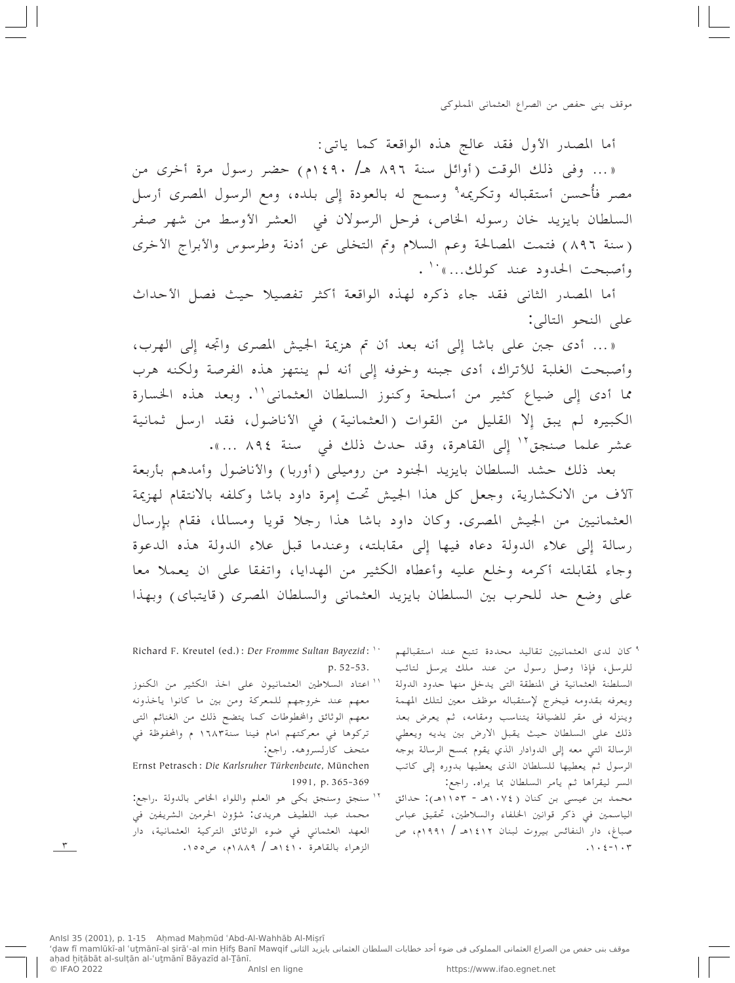أما المصدر الأول فقد عالج هذه الواقعة كما ياتبي:

« ... وفي ذلك الوقت (أوائل سنة ٨٩٦ هـ/ ١٤٩٠م) حضر رسول مرة أخرى من مصر فأُحسن أستقباله وتكريمه<sup>9</sup> وسمح له بالعودة إلى بلده، ومع الرسول المصري أرسل السلطان بايزيد خان رسوله الخاص، فرحل الرسولان في العشر الأوسط من شهر صفر (سنة ٨٩٦) فتمت المصالحة وعم السلام وتم التخلي عن أدنة وطرسوس والأبراج الأخرى وأصبحت الحدود عند كولك...» ``.

أما المصدر الثاني فقد جاء ذكره لهذه الواقعة أكثر تفصيلا حيث فصل الأحداث على النحو التالي:

«... أدى جبن على باشا إِلى أنه بعد أن تم هزيمة الجيش المصرى واتجه إلى الهرب، وأصبحت الغلبة للأتراك، أدى جبنه وخوفه إِلى أنه لم ينتهز هذه الفرصة ولكنه هرب مما أدى إلى ضياع كثير من أسلحة وكنوز السلطان العثماني''. وبعد هذه الخسارة الكبيره لم يبق إلا القليل من القوات (العثمانية) في الأناضول، فقد ارسل ثمانية عشر علما صنجق'' إلى القاهرة، وقد حدث ذلك في سنة ٨٩٤ ...».

بعد ذلك حشد السلطان بايزيد الجنود من روميلي (أوربا) والأناضول وأمدهم بأربعة آلأف من الانكشارية، وجعل كل هذا الجيش تحت إمرة داود باشا وكلفه بالانتقام لهزيمة العثمانيين من الجيش المصري. وكان داود باشا هذا رجلا قويا ومسالما، فقام بإرسال رسالة إلى علاء الدولة دعاه فيها إلى مقابلته، وعندما قبل علاء الدولة هذه الدعوة وجاء لمقابلته أكرمه وخلع عليه وأعطاه الكثير من الهدايا، واتفقا على ان يعملا معا على وضع حد للحرب بين السلطان بايزيد العثماني والسلطان المصرى (قايتباي) وبهذا

> <sup>9</sup> كان لدى العثمانيين تقاليد محددة تتبع عند استقبالهم للرسل، فإِذا وصل رسول من عند ملك يرسل لتائب السلطنة العثمانية في المنطقة التي يدخل منها حدود الدولة ويعرفه بقدومه فيخرج لإستقباله موظف معين لتلك المهمة وينزله في مقر للضيافة يتناسب ومقامه، ثم يعرض بعد ذلك على السلطان حيث يقبل الارض بين يديه ويعطى الرسالة التبي معه إلى الدوادار الذي يقوم بمسح الرسالة بوجه الرسول ثم يعطيها للسلطان الذي يعطيها بدوره إلى كاتب السر ليقرأها ثم يأمر السلطان بما يراه. راجع: محمد بن عيسى بن كنان ( ١٠٧٤هـ - ١١٥٣هـ): حدائق الياسمين في ذكر قوانين الخلفاء والسلاطين، تحقيق عباس صباغ، دار النفائس بيروت لبنان ١٤١٢هـ / ١٩٩١م، ص  $\cdot \cdot \cdot$   $\cdot$   $\cdot$   $\cdot$

- Richard F. Kreutel (ed.): Der Fromme Sultan Bayezid: '' p. 52-53.
- `` اعتاد السلاطين العثمانيون على اخذ الكثير من الكنوز معهم عند خروجهم للمعركة ومن بين ما كانوا يأخذونه معهم الوثائق والخطوطات كما يتضح ذلك من الغنائم التي تركوها في معركتهم امام فينا سنة١٦٨٣ م والمحفوظة في متحف كارلسروهه. راجع:
- Ernst Petrasch: Die Karlsruher Türkenbeute, München 1991, p. 365-369
- <sup>١٢</sup> سنجق وسنجق بكي هو العلم واللواء الخاص بالدولة .راجع: محمد عبد اللطيف هريدي: شؤون الحرمين الشريفين في العهد العثماني في ضوء الوثائق التركية العثمانية، دار الزهراء بالقاهرة ١٤١٠هـ / ١٨٨٩م، ص١٥٥.

 $\mathbf{r}$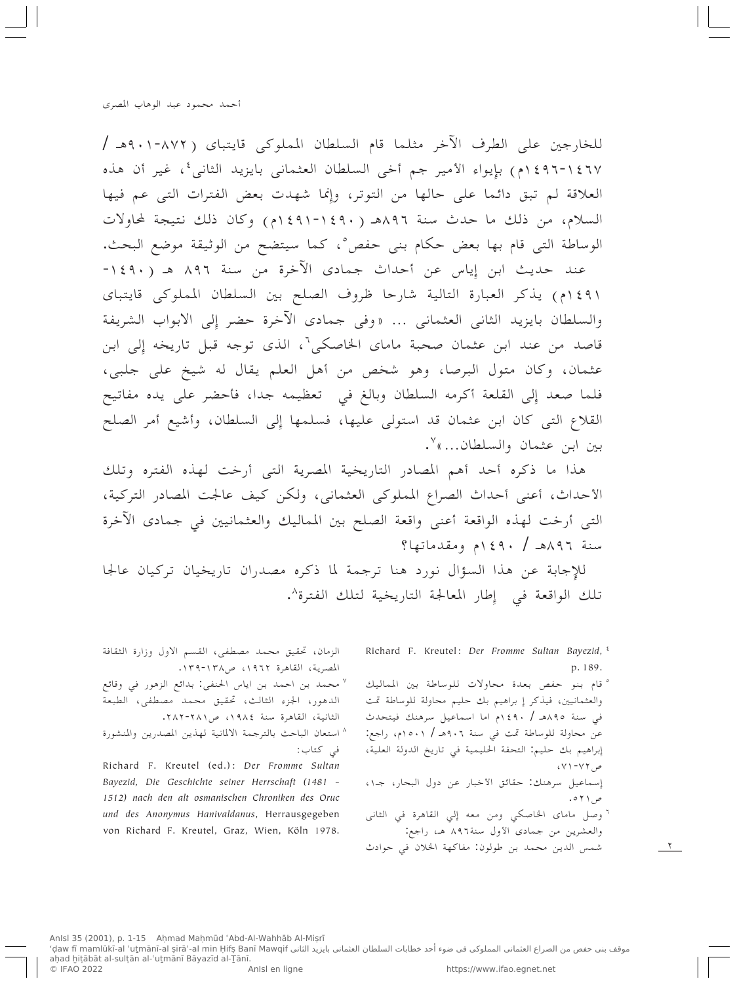للخارجين على الطرف الآخر مثلما قام السلطان المملوكي قايتباي (٨٧٢-٩٠١هـ / ١٤٦٧-١٤٩٦م) بإيواء الأمير جم أخى السلطان العثماني بايزيد الثاني ُ، غير أن هذه العلاقة لم تبق دائما على حالها من التوتر، وإنما شهدت بعض الفترات التبي عم فيها السلام، من ذلك ما حدث سنة ٨٩٦هـ (١٤٩٠-١٤٩١م) وكان ذلك نتيجة لمحاولات الوساطة التي قام بها بعض حكام بني حفص°، كما سيتضح من الوثيقة موضع البحث.

عند حديث ابن إِياس عن أحداث جمادى الآخرة من سنة ٨٩٦ هـ (١٤٩٠-٤٩١م) يذكر العبارة التالية شارحا ظروف الصلح بين السلطان المملوكي قايتباي والسلطان بايزيد الثاني العثماني ... «وفي جمادي الآخرة حضر إلى الابواب الشريفة قاصد من عند ابن عثمان صحبة ماماي الخاصكي`، الذي توجه قبل تاريخه إلى ابن عثمان، وكان متول البرصا، وهو شخص من أهل العلم يقال له شيخ على جلبي، فلما صعد إلى القلعة أكرمه السلطان وبالغ في تعظيمه جدا، فأحضر على يده مفاتيح القلاع التي كان ابن عثمان قد استولى عليها، فسلمها إلى السلطان، وأشيع أمر الصلح بين ابن عثمان والسلطان...»

هذا ما ذكره أحد أهم المصادر التاريخية المصرية التبي أرخت لهذه الفتره وتلك الأحداث، أعنى أحداث الصراع المملوكي العثماني، ولكن كيف عالجت المصادر التركية، التي أرخت لهذه الواقعة أعنى واقعة الصلح بين المماليك والعثمانيين في جمادي الآخرة سنة ٨٩٦هـ / ٤٩٠م ومقدماتها؟

للإجابة عن هذا السؤال نورد هنا ترجمة لما ذكره مصدران تاريخيان تركيان عالجا تلك الواقعة في إِطار المعالجة التاريخية لتلك الفترة^.

> Richard F. Kreutel: Der Fromme Sultan Bayezid, <sup>2</sup> p. 189.

> ° قام بنو حفص بعدة محاولات للوساطة بين المماليك والعثمانيين، فيذكر إِ براهيم بك حليم محاولة للوساطة تمت في سنة ٨٩٥هـ / ٤٩٠م اما اسماعيل سرهنك فيتحدث عن محاولة للوساطة تمت في سنة ٩٠٦هـ / ١٥٠١م، راجع: إبراهيم بك حليم: التحفة الحليمية في تاريخ الدولة العلية،  $\sqrt{YYY}$ ص

إسماعيل سرهنك: حقائق الأخبار عن دول البحار، جـ١، ص ۲۱ ه.

<sup>7</sup> وصل ماماي الخاصكي ومن معه إِلى القاهرة في الثاني والعشرين من جمادي الأول سنة٨٩٦ هـ، راجع:

 $\frac{1}{\sqrt{2}}$ 

شمس الدين محمد بن طولون: مفاكهة الخلان في حوادث

الزمان، تحقيق محمد مصطفى، القسم الاول وزارة الثقافة المصرية، القاهرة ١٩٦٢، ص١٣٨-١٣٩.

- <sup>٧</sup> محمد بن احمد بن اياس الحنفي: بدائع الزهور في وقائع الدهور، الجزء الثالث، تحقيق محمد مصطفى، الطبعة الثانية، القاهرة سنة ١٩٨٤، ص٢٨٢-٢٨٢.
- ^ استعان الباحث بالترجمة الالمانية لهذين المصدرين والمنشورة في كتاب:

Richard F. Kreutel (ed.): Der Fromme Sultan Bayezid, Die Geschichte seiner Herrschaft (1481 -1512) nach den alt osmanischen Chroniken des Oruc und des Anonymus Hanivaldanus, Herrausgegeben von Richard F. Kreutel, Graz, Wien, Köln 1978.